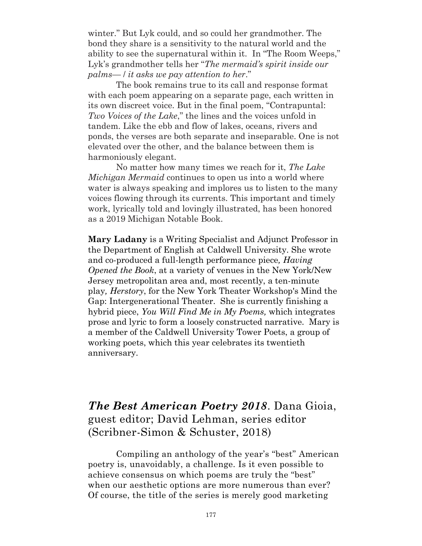winter." But Lyk could, and so could her grandmother. The bond they share is a sensitivity to the natural world and the ability to see the supernatural within it. In "The Room Weeps," Lyk's grandmother tells her "*The mermaid's spirit inside our palms—* / *it asks we pay attention to her*."

The book remains true to its call and response format with each poem appearing on a separate page, each written in its own discreet voice. But in the final poem, "Contrapuntal: *Two Voices of the Lake*," the lines and the voices unfold in tandem. Like the ebb and flow of lakes, oceans, rivers and ponds, the verses are both separate and inseparable. One is not elevated over the other, and the balance between them is harmoniously elegant.

No matter how many times we reach for it, *The Lake Michigan Mermaid* continues to open us into a world where water is always speaking and implores us to listen to the many voices flowing through its currents. This important and timely work, lyrically told and lovingly illustrated, has been honored as a 2019 Michigan Notable Book.

**Mary Ladany** is a Writing Specialist and Adjunct Professor in the Department of English at Caldwell University. She wrote and co-produced a full-length performance piece*, Having Opened the Book*, at a variety of venues in the New York/New Jersey metropolitan area and, most recently, a ten-minute play*, Herstory*, for the New York Theater Workshop's Mind the Gap: Intergenerational Theater. She is currently finishing a hybrid piece, *You Will Find Me in My Poems,* which integrates prose and lyric to form a loosely constructed narrative. Mary is a member of the Caldwell University Tower Poets, a group of working poets, which this year celebrates its twentieth anniversary.

*The Best American Poetry 2018*. Dana Gioia, guest editor; David Lehman, series editor (Scribner-Simon & Schuster, 2018)

Compiling an anthology of the year's "best" American poetry is, unavoidably, a challenge. Is it even possible to achieve consensus on which poems are truly the "best" when our aesthetic options are more numerous than ever? Of course, the title of the series is merely good marketing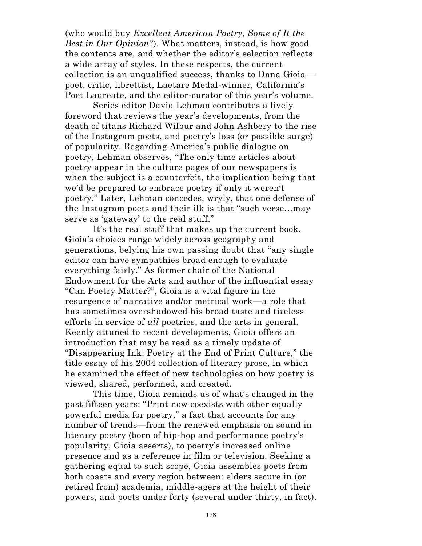(who would buy *Excellent American Poetry, Some of It the Best in Our Opinion*?). What matters, instead, is how good the contents are, and whether the editor's selection reflects a wide array of styles. In these respects, the current collection is an unqualified success, thanks to Dana Gioia poet, critic, librettist, Laetare Medal-winner, California's Poet Laureate, and the editor-curator of this year's volume.

Series editor David Lehman contributes a lively foreword that reviews the year's developments, from the death of titans Richard Wilbur and John Ashbery to the rise of the Instagram poets, and poetry's loss (or possible surge) of popularity. Regarding America's public dialogue on poetry, Lehman observes, "The only time articles about poetry appear in the culture pages of our newspapers is when the subject is a counterfeit, the implication being that we'd be prepared to embrace poetry if only it weren't poetry." Later, Lehman concedes, wryly, that one defense of the Instagram poets and their ilk is that "such verse…may serve as 'gateway' to the real stuff."

It's the real stuff that makes up the current book. Gioia's choices range widely across geography and generations, belying his own passing doubt that "any single editor can have sympathies broad enough to evaluate everything fairly." As former chair of the National Endowment for the Arts and author of the influential essay "Can Poetry Matter?", Gioia is a vital figure in the resurgence of narrative and/or metrical work—a role that has sometimes overshadowed his broad taste and tireless efforts in service of *all* poetries, and the arts in general. Keenly attuned to recent developments, Gioia offers an introduction that may be read as a timely update of "Disappearing Ink: Poetry at the End of Print Culture," the title essay of his 2004 collection of literary prose, in which he examined the effect of new technologies on how poetry is viewed, shared, performed, and created.

This time, Gioia reminds us of what's changed in the past fifteen years: "Print now coexists with other equally powerful media for poetry," a fact that accounts for any number of trends—from the renewed emphasis on sound in literary poetry (born of hip-hop and performance poetry's popularity, Gioia asserts), to poetry's increased online presence and as a reference in film or television. Seeking a gathering equal to such scope, Gioia assembles poets from both coasts and every region between: elders secure in (or retired from) academia, middle-agers at the height of their powers, and poets under forty (several under thirty, in fact).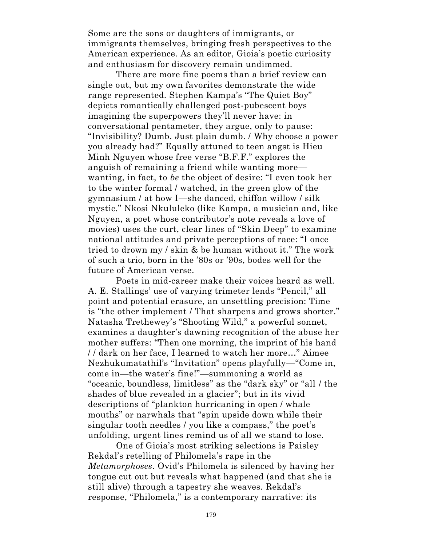Some are the sons or daughters of immigrants, or immigrants themselves, bringing fresh perspectives to the American experience. As an editor, Gioia's poetic curiosity and enthusiasm for discovery remain undimmed.

There are more fine poems than a brief review can single out, but my own favorites demonstrate the wide range represented. Stephen Kampa's "The Quiet Boy" depicts romantically challenged post-pubescent boys imagining the superpowers they'll never have: in conversational pentameter, they argue, only to pause: "Invisibility? Dumb. Just plain dumb. / Why choose a power you already had?" Equally attuned to teen angst is Hieu Minh Nguyen whose free verse "B.F.F." explores the anguish of remaining a friend while wanting more wanting, in fact, to *be* the object of desire: "I even took her to the winter formal / watched, in the green glow of the gymnasium / at how I—she danced, chiffon willow / silk mystic." Nkosi Nkululeko (like Kampa, a musician and, like Nguyen, a poet whose contributor's note reveals a love of movies) uses the curt, clear lines of "Skin Deep" to examine national attitudes and private perceptions of race: "I once tried to drown my / skin & be human without it." The work of such a trio, born in the '80s or '90s, bodes well for the future of American verse.

Poets in mid-career make their voices heard as well. A. E. Stallings' use of varying trimeter lends "Pencil," all point and potential erasure, an unsettling precision: Time is "the other implement / That sharpens and grows shorter." Natasha Trethewey's "Shooting Wild," a powerful sonnet, examines a daughter's dawning recognition of the abuse her mother suffers: "Then one morning, the imprint of his hand / / dark on her face, I learned to watch her more…" Aimee Nezhukumatathil's "Invitation" opens playfully—"Come in, come in—the water's fine!"—summoning a world as "oceanic, boundless, limitless" as the "dark sky" or "all / the shades of blue revealed in a glacier"; but in its vivid descriptions of "plankton hurricaning in open / whale mouths" or narwhals that "spin upside down while their singular tooth needles / you like a compass," the poet's unfolding, urgent lines remind us of all we stand to lose.

One of Gioia's most striking selections is Paisley Rekdal's retelling of Philomela's rape in the *Metamorphoses*. Ovid's Philomela is silenced by having her tongue cut out but reveals what happened (and that she is still alive) through a tapestry she weaves. Rekdal's response, "Philomela," is a contemporary narrative: its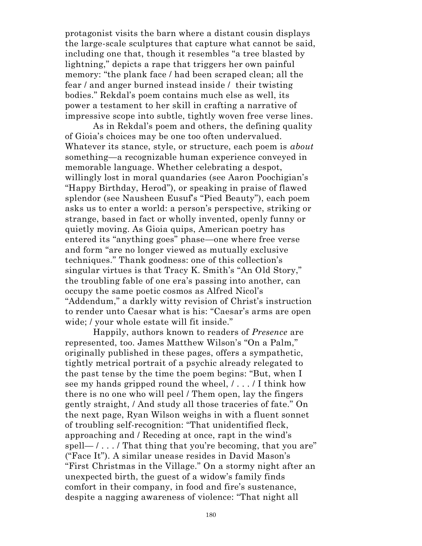protagonist visits the barn where a distant cousin displays the large-scale sculptures that capture what cannot be said, including one that, though it resembles "a tree blasted by lightning," depicts a rape that triggers her own painful memory: "the plank face / had been scraped clean; all the fear / and anger burned instead inside / their twisting bodies." Rekdal's poem contains much else as well, its power a testament to her skill in crafting a narrative of impressive scope into subtle, tightly woven free verse lines.

As in Rekdal's poem and others, the defining quality of Gioia's choices may be one too often undervalued. Whatever its stance, style, or structure, each poem is *about*  something—a recognizable human experience conveyed in memorable language. Whether celebrating a despot, willingly lost in moral quandaries (see Aaron Poochigian's "Happy Birthday, Herod"), or speaking in praise of flawed splendor (see Nausheen Eusuf's "Pied Beauty"), each poem asks us to enter a world: a person's perspective, striking or strange, based in fact or wholly invented, openly funny or quietly moving. As Gioia quips, American poetry has entered its "anything goes" phase—one where free verse and form "are no longer viewed as mutually exclusive techniques." Thank goodness: one of this collection's singular virtues is that Tracy K. Smith's "An Old Story," the troubling fable of one era's passing into another, can occupy the same poetic cosmos as Alfred Nicol's "Addendum," a darkly witty revision of Christ's instruction to render unto Caesar what is his: "Caesar's arms are open wide; / your whole estate will fit inside."

Happily, authors known to readers of *Presence* are represented, too. James Matthew Wilson's "On a Palm," originally published in these pages, offers a sympathetic, tightly metrical portrait of a psychic already relegated to the past tense by the time the poem begins: "But, when I see my hands gripped round the wheel, / . . . / I think how there is no one who will peel / Them open, lay the fingers gently straight, / And study all those traceries of fate." On the next page, Ryan Wilson weighs in with a fluent sonnet of troubling self-recognition: "That unidentified fleck, approaching and / Receding at once, rapt in the wind's spell—  $\ell$ ...  $\ell$  That thing that you're becoming, that you are" ("Face It"). A similar unease resides in David Mason's "First Christmas in the Village." On a stormy night after an unexpected birth, the guest of a widow's family finds comfort in their company, in food and fire's sustenance, despite a nagging awareness of violence: "That night all